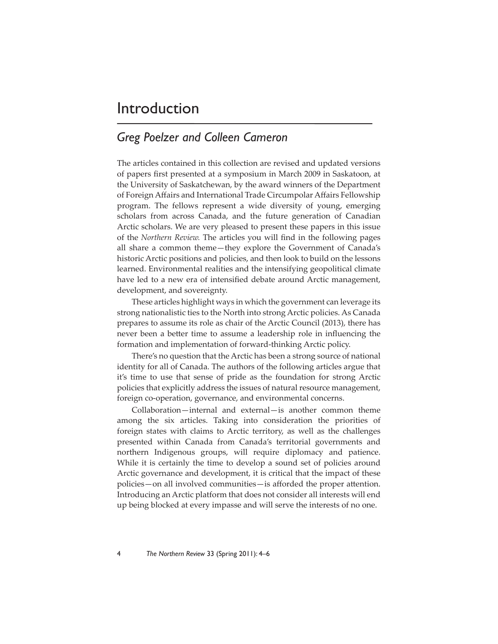## Introduction

## *Greg Poelzer and Colleen Cameron*

The articles contained in this collection are revised and updated versions of papers first presented at a symposium in March 2009 in Saskatoon, at the University of Saskatchewan, by the award winners of the Department of Foreign Affairs and International Trade Circumpolar Affairs Fellowship program. The fellows represent a wide diversity of young, emerging scholars from across Canada, and the future generation of Canadian Arctic scholars. We are very pleased to present these papers in this issue of the *Northern Review*. The articles you will find in the following pages all share a common theme—they explore the Government of Canada's historic Arctic positions and policies, and then look to build on the lessons learned. Environmental realities and the intensifying geopolitical climate have led to a new era of intensified debate around Arctic management, development, and sovereignty.

These articles highlight ways in which the government can leverage its strong nationalistic ties to the North into strong Arctic policies. As Canada prepares to assume its role as chair of the Arctic Council (2013), there has never been a better time to assume a leadership role in influencing the formation and implementation of forward-thinking Arctic policy.

There's no question that the Arctic has been a strong source of national identity for all of Canada. The authors of the following articles argue that it's time to use that sense of pride as the foundation for strong Arctic policies that explicitly address the issues of natural resource management, foreign co-operation, governance, and environmental concerns.

Collaboration—internal and external—is another common theme among the six articles. Taking into consideration the priorities of foreign states with claims to Arctic territory, as well as the challenges presented within Canada from Canada's territorial governments and northern Indigenous groups, will require diplomacy and patience. While it is certainly the time to develop a sound set of policies around Arctic governance and development, it is critical that the impact of these policies—on all involved communities—is afforded the proper attention. Introducing an Arctic platform that does not consider all interests will end up being blocked at every impasse and will serve the interests of no one.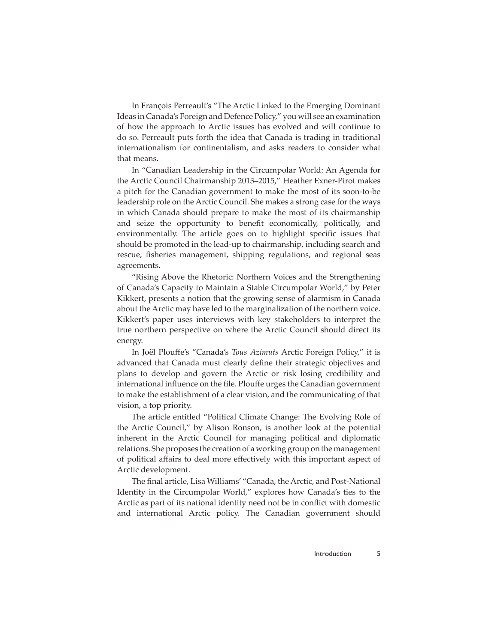In François Perreault's "The Arctic Linked to the Emerging Dominant Ideas in Canada's Foreign and Defence Policy," you will see an examination of how the approach to Arctic issues has evolved and will continue to do so. Perreault puts forth the idea that Canada is trading in traditional internationalism for continentalism, and asks readers to consider what that means.

In "Canadian Leadership in the Circumpolar World: An Agenda for the Arctic Council Chairmanship 2013–2015," Heather Exner-Pirot makes a pitch for the Canadian government to make the most of its soon-to-be leadership role on the Arctic Council. She makes a strong case for the ways in which Canada should prepare to make the most of its chairmanship and seize the opportunity to benefit economically, politically, and environmentally. The article goes on to highlight specific issues that should be promoted in the lead-up to chairmanship, including search and rescue, fisheries management, shipping regulations, and regional seas agreements.

"Rising Above the Rhetoric: Northern Voices and the Strengthening of Canada's Capacity to Maintain a Stable Circumpolar World," by Peter Kikkert, presents a notion that the growing sense of alarmism in Canada about the Arctic may have led to the marginalization of the northern voice. Kikkert's paper uses interviews with key stakeholders to interpret the true northern perspective on where the Arctic Council should direct its energy.

In Joël Plouffe's "Canada's *Tous Azimuts* Arctic Foreign Policy," it is advanced that Canada must clearly define their strategic objectives and plans to develop and govern the Arctic or risk losing credibility and international influence on the file. Plouffe urges the Canadian government to make the establishment of a clear vision, and the communicating of that vision, a top priority.

The article entitled "Political Climate Change: The Evolving Role of the Arctic Council," by Alison Ronson, is another look at the potential inherent in the Arctic Council for managing political and diplomatic relations. She proposes the creation of a working group on the management of political affairs to deal more effectively with this important aspect of Arctic development.

The final article, Lisa Williams' "Canada, the Arctic, and Post-National Identity in the Circumpolar World," explores how Canada's ties to the Arctic as part of its national identity need not be in conflict with domestic and international Arctic policy. The Canadian government should